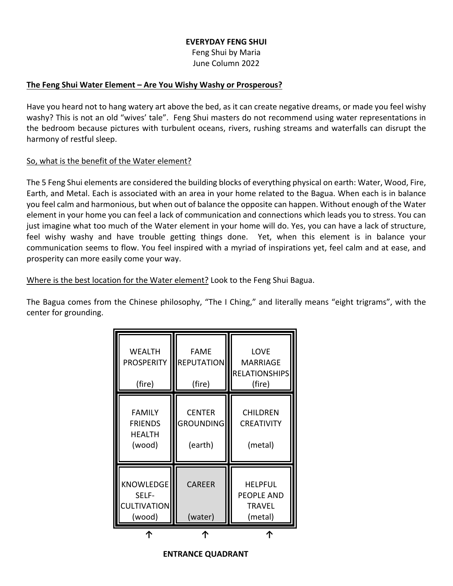### **EVERYDAY FENG SHUI**

Feng Shui by Maria June Column 2022

## **The Feng Shui Water Element – Are You Wishy Washy or Prosperous?**

Have you heard not to hang watery art above the bed, as it can create negative dreams, or made you feel wishy washy? This is not an old "wives' tale". Feng Shui masters do not recommend using water representations in the bedroom because pictures with turbulent oceans, rivers, rushing streams and waterfalls can disrupt the harmony of restful sleep.

## So, what is the benefit of the Water element?

The 5 Feng Shui elements are considered the building blocks of everything physical on earth: Water, Wood, Fire, Earth, and Metal. Each is associated with an area in your home related to the Bagua. When each is in balance you feel calm and harmonious, but when out of balance the opposite can happen. Without enough of the Water element in your home you can feel a lack of communication and connections which leads you to stress. You can just imagine what too much of the Water element in your home will do. Yes, you can have a lack of structure, feel wishy washy and have trouble getting things done. Yet, when this element is in balance your communication seems to flow. You feel inspired with a myriad of inspirations yet, feel calm and at ease, and prosperity can more easily come your way.

Where is the best location for the Water element? Look to the Feng Shui Bagua.

The Bagua comes from the Chinese philosophy, "The I Ching," and literally means "eight trigrams", with the center for grounding.

| <b>WEALTH</b><br><b>PROSPERITY</b><br>(fire)               | <b>FAME</b><br><b>REPUTATION</b><br>(fire)   | <b>LOVE</b><br><b>MARRIAGE</b><br><b>RELATIONSHIPS</b><br>(fire) |
|------------------------------------------------------------|----------------------------------------------|------------------------------------------------------------------|
| <b>FAMILY</b><br><b>FRIENDS</b><br><b>HEALTH</b><br>(wood) | <b>CENTER</b><br><b>GROUNDING</b><br>(earth) | <b>CHILDREN</b><br><b>CREATIVITY</b><br>(metal)                  |
| KNOWLEDGE<br>SELF-<br><b>CULTIVATION</b><br>(wood)         | <b>CAREER</b><br>(water)                     | <b>HELPFUL</b><br><b>PEOPLE AND</b><br><b>TRAVEL</b><br>(metal)  |
|                                                            |                                              |                                                                  |

#### **ENTRANCE QUADRANT**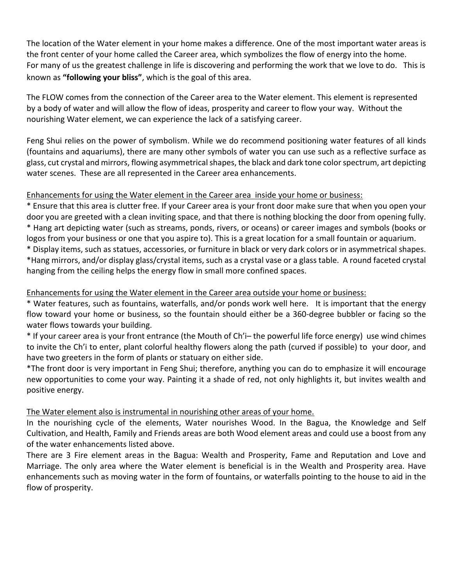The location of the Water element in your home makes a difference. One of the most important water areas is the front center of your home called the Career area, which symbolizes the flow of energy into the home. For many of us the greatest challenge in life is discovering and performing the work that we love to do. This is known as **"following your bliss"**, which is the goal of this area.

The FLOW comes from the connection of the Career area to the Water element. This element is represented by a body of water and will allow the flow of ideas, prosperity and career to flow your way. Without the nourishing Water element, we can experience the lack of a satisfying career.

Feng Shui relies on the power of symbolism. While we do recommend positioning water features of all kinds (fountains and aquariums), there are many other symbols of water you can use such as a reflective surface as glass, cut crystal and mirrors, flowing asymmetrical shapes, the black and dark tone color spectrum, art depicting water scenes. These are all represented in the Career area enhancements.

# Enhancements for using the Water element in the Career area inside your home or business:

\* Ensure that this area is clutter free. If your Career area is your front door make sure that when you open your door you are greeted with a clean inviting space, and that there is nothing blocking the door from opening fully. \* Hang art depicting water (such as streams, ponds, rivers, or oceans) or career images and symbols (books or logos from your business or one that you aspire to). This is a great location for a small fountain or aquarium.

\* Display items, such as statues, accessories, or furniture in black or very dark colors or in asymmetrical shapes. \*Hang mirrors, and/or display glass/crystal items, such as a crystal vase or a glass table. A round faceted crystal hanging from the ceiling helps the energy flow in small more confined spaces.

# Enhancements for using the Water element in the Career area outside your home or business:

\* Water features, such as fountains, waterfalls, and/or ponds work well here. It is important that the energy flow toward your home or business, so the fountain should either be a 360-degree bubbler or facing so the water flows towards your building.

\* If your career area is your front entrance (the Mouth of Ch'i– the powerful life force energy) use wind chimes to invite the Ch'i to enter, plant colorful healthy flowers along the path (curved if possible) to your door, and have two greeters in the form of plants or statuary on either side.

\*The front door is very important in Feng Shui; therefore, anything you can do to emphasize it will encourage new opportunities to come your way. Painting it a shade of red, not only highlights it, but invites wealth and positive energy.

# The Water element also is instrumental in nourishing other areas of your home.

In the nourishing cycle of the elements, Water nourishes Wood. In the Bagua, the Knowledge and Self Cultivation, and Health, Family and Friends areas are both Wood element areas and could use a boost from any of the water enhancements listed above.

There are 3 Fire element areas in the Bagua: Wealth and Prosperity, Fame and Reputation and Love and Marriage. The only area where the Water element is beneficial is in the Wealth and Prosperity area. Have enhancements such as moving water in the form of fountains, or waterfalls pointing to the house to aid in the flow of prosperity.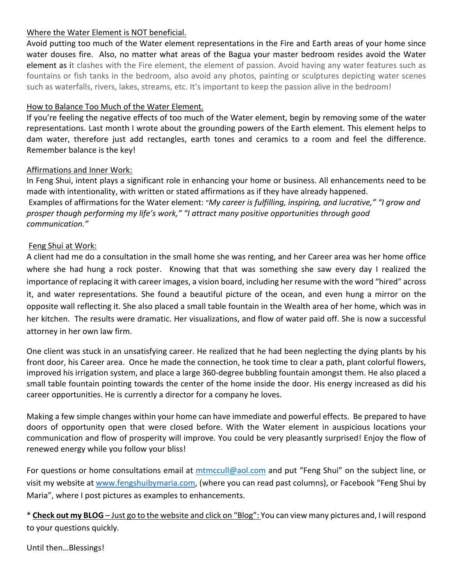# Where the Water Element is NOT beneficial.

Avoid putting too much of the Water element representations in the Fire and Earth areas of your home since water douses fire. Also, no matter what areas of the Bagua your master bedroom resides avoid the Water element as it clashes with the Fire element, the element of passion. Avoid having any water features such as fountains or fish tanks in the bedroom, also avoid any photos, painting or sculptures depicting water scenes such as waterfalls, rivers, lakes, streams, etc. It's important to keep the passion alive in the bedroom!

## How to Balance Too Much of the Water Element.

If you're feeling the negative effects of too much of the Water element, begin by removing some of the water representations. Last month I wrote about the grounding powers of the Earth element. This element helps to dam water, therefore just add rectangles, earth tones and ceramics to a room and feel the difference. Remember balance is the key!

### Affirmations and Inner Work:

In Feng Shui, intent plays a significant role in enhancing your home or business. All enhancements need to be made with intentionality, with written or stated affirmations as if they have already happened. Examples of affirmations for the Water element: "*My career is fulfilling, inspiring, and lucrative," "I grow and prosper though performing my life's work," "I attract many positive opportunities through good communication."*

## Feng Shui at Work:

A client had me do a consultation in the small home she was renting, and her Career area was her home office where she had hung a rock poster. Knowing that that was something she saw every day I realized the importance of replacing it with career images, a vision board, including her resume with the word "hired" across it, and water representations. She found a beautiful picture of the ocean, and even hung a mirror on the opposite wall reflecting it. She also placed a small table fountain in the Wealth area of her home, which was in her kitchen. The results were dramatic. Her visualizations, and flow of water paid off. She is now a successful attorney in her own law firm.

One client was stuck in an unsatisfying career. He realized that he had been neglecting the dying plants by his front door, his Career area. Once he made the connection, he took time to clear a path, plant colorful flowers, improved his irrigation system, and place a large 360-degree bubbling fountain amongst them. He also placed a small table fountain pointing towards the center of the home inside the door. His energy increased as did his career opportunities. He is currently a director for a company he loves.

Making a few simple changes within your home can have immediate and powerful effects. Be prepared to have doors of opportunity open that were closed before. With the Water element in auspicious locations your communication and flow of prosperity will improve. You could be very pleasantly surprised! Enjoy the flow of renewed energy while you follow your bliss!

For questions or home consultations email at [mtmccull@aol.com](mailto:mtmccull@aol.com) and put "Feng Shui" on the subject line, or visit my website at [www.fengshuibymaria.com,](http://www.fengshuibymaria.com/) (where you can read past columns), or Facebook "Feng Shui by Maria", where I post pictures as examples to enhancements.

\* **Check out my BLOG** – Just go to the website and click on "Blog": You can view many pictures and, I will respond to your questions quickly.

Until then…Blessings!